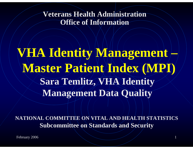**Veterans Health Administration Office of Information**

**VHA Identity Management – Master Patient Index (MPI) Sara Temlitz, VHA Identity Management Data Quality**

**NATIONAL COMMITTEE ON VITAL AND HEALTH STATISTICS Subcommittee on Standards and Security**

February 2006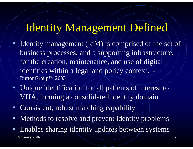### Identity Management Defined

- Identity management (IdM) is comprised of the set of business processes, and a supporting infrastructure, for the creation, maintenance, and use of digital identities within a legal and policy context. BurtonGroup™ 2003
- Unique identification for all patients of interest to VHA, forming a consolidated identity domain
- Consistent, robust matching capability
- Methods to resolve and prevent identity/problems
- **February 2006 2** • Enables sharing identity updates between systems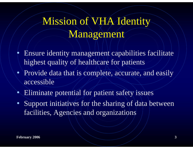## Mission of VHA Identity Management

- $\bullet$  Ensure identity management capabilities facilitate highest quality of healthcare for patients
- Provide data that is complete, accurate, and easily accessible
- Eliminate potential for patient safety issues
- Support initiatives for the sharing of data between facilities, Agencies and organizations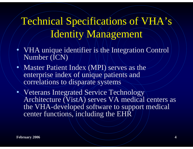## Technical Specifications of VHA's Identity Management

- $\bullet$  VHA unique identifier is the Integration Control Number (ICN)
- Master Patient Index (MPI) serves as the enterprise index of unique patients and correlations to disparate systems
- Veterans Integrated Service Technology Architecture (VistA) serves VA medical centers as the VHA-developed software to support medical center functions, including the EHR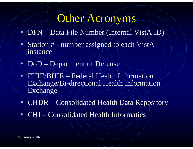### Other Acronyms

- DFN Data File Number (Internal VistA ID)
- $\bullet$  Station # - number assigned to each VistA instance
- $\bullet$ DoD – Department of Defense
- FHIE/BHIE Federal Health Information Exchange/Bi-directional Health Information Exchange
- CHDR – Consolidated Health Data Repository
- CHI Consolidated Health Informatics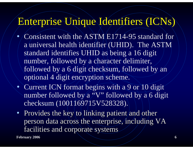### Enterprise Unique Identifiers (ICNs)

- $\bullet$  Consistent with the ASTM E1714-95 standard for a/universal health identifier (UHID). The ASTM standard identifies UHID as being a 16 digit number, followed by a character delimiter, followed by a 6 digit checksum, followed by an optional 4 digit encryption scheme.
- Current ICN format begins with a 9 or 10 digit number followed by a "V" followed by a 6 digit checksum (1001169715V528328).
- Provides the key to linking patient and other person data across the enterprise, including VA person data across the enterprise, including VA facilities and corporate systems facilities and corporate systems

**February 2006 6**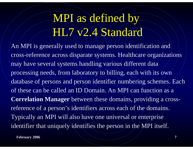# MPI as defined by HL7 v2.4 Standard

An MPI is generally used to manage person identification and cross-reference across disparate systems. Healthcare organizations may have several systems handling various different data processing needs, from laboratory to billing, each with its own database of persons and person identifier numbering schemes. Each of these can be called an ID Domain. An MPI can function as a **Correlation Manager** between these domains, providing a crossreference of a person's identifiers across each of the domains. Typically an MPI will also have one universal or enterprise identifier that uniquely identifies the person in the MPI itself.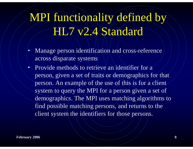## MPI functionality defined by HL7 v2.4 Standard

- Manage person identification and cross-reference across disparate systems
- Provide methods to retrieve an identifier for a person, given a set of traits or demographics for that person. An example of the use of this is for a client system to query the MPI for a person given a set of demographics. The MPI uses matching algorithms to find possible matching persons, and returns to the client system the identifiers for those persons.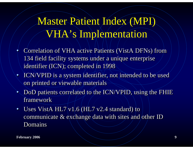## Master Patient Index (MPI) VHA's Implementation

- • Correlation of VHA active Patients (VistA DFNs) from Correlation of VHA active Patients (VistA DFNs) from 134 field facility systems under a unique enterprise 134 field facility systems under a unique enterprise identifier (ICN); completed in 1998 identifier (ICN); completed in 1998 •
- ICN/VPID is a system identifier, not intended to be used ICN/VPID is a system identifier, not intended to be used on printed or viewable materials on printed or viewable materials
- $\bullet$ • DoD patients correlated to the ICN/VPID, using the FHIE framework
- $\bullet$ • Uses VistA  $HL7$  v1.6 (HL7 v2.4 standard) to communicate  $\&$  exchange data with sites and/other ID Domains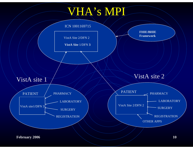## VHA's MPI

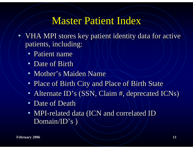#### Master Patient Index

- • VHA MPI stores key patient identity data for active VHA MPI stores key patient identity data for active patients, including: patients, including:  $\bullet$ 
	- Patient name
	- Date of Birth
	- Mother's Maiden Name
	- Place of Birth City and Place of Birth State Place of Birth City and Place of Birth State
	- Alternate ID's (SSN, Claim #, deprecated ICNs)
	- Date of Death
	- MPI-related data (ICN and correlated ID Domain/ID's ) Domain/ID's )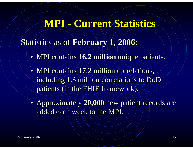#### **MPI - Current Statistics**

Statistics as of **February 1, 2006:** Statistics as of **February 1, 2006:**

- MPI contains **16.2 million** unique patients. MPI contains **16.2 million** unique patients.
- MPI contains 17.2 million correlations, including 1.3 million correlations to DoD including 1.3 million correlations to DoD patients (in the FHIE framework). patients (in the FHIE framework).
- Approximately **20,000** new patient records are Approximately **20,000** new patient records are added each week to the MPI. added each week to the MPI.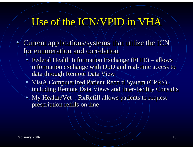#### Use of the ICN/VPID in VHA

- $\bullet$  $\bullet$  Current applications/systems that utilize the ICN for enumeration and correlation
	- • Federal Health Information Exchange (FHIE) – allows Federal Health Information Exchange (FHIE) – allows information exchange with DoD and real-time access to information exchange with DoD and real-time access to data through Remote Data View data through Remote Data View •
	- VistA Computerized Patient Record System (CPRS), including Remote Data Views and Inter-facility Consults including Remote Data Views and Inter-facility Consults
	- My HealtheVet RxRefill allows patients to request prescription refills on-line prescription refills on-line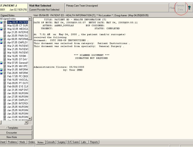| <b>ST, PATIENT J</b><br>Jan 02,1929 [76]<br>0001                                                                                                                                                                                                                                                                                                                                                                                                                                                                                                                                                                                                                                                                                                                                                                                                                      | <b>Visit Not Selected</b><br><b>Current Provider Not Selected</b>                                                                                                                                                                      | Primary Care Team Unassigned                                                                                                                                                                                                                                                                                                                                                                                                     | Flad | Remote<br>13<br>Data |
|-----------------------------------------------------------------------------------------------------------------------------------------------------------------------------------------------------------------------------------------------------------------------------------------------------------------------------------------------------------------------------------------------------------------------------------------------------------------------------------------------------------------------------------------------------------------------------------------------------------------------------------------------------------------------------------------------------------------------------------------------------------------------------------------------------------------------------------------------------------------------|----------------------------------------------------------------------------------------------------------------------------------------------------------------------------------------------------------------------------------------|----------------------------------------------------------------------------------------------------------------------------------------------------------------------------------------------------------------------------------------------------------------------------------------------------------------------------------------------------------------------------------------------------------------------------------|------|----------------------|
| Signed Notes<br>Visit: 05/04/05 PATIENT ED - HEALTH INFORMATION [T], ** No Location **, Doug Aanes (May 04,05@09:05)                                                                                                                                                                                                                                                                                                                                                                                                                                                                                                                                                                                                                                                                                                                                                  |                                                                                                                                                                                                                                        |                                                                                                                                                                                                                                                                                                                                                                                                                                  |      |                      |
| All signed notes<br>■■<br>May 04,05 PATIEN<br>May 02,05 CT SUR<br>▤<br>图 May 02,05 MEDICA<br>图 Apr 21,05 INTERVE<br>Apr 20,05 PAIN OU<br>▤<br>28<br>Apr 08,05 INFORME<br>■■<br>Apr 07,05 EMPLOY<br>▤<br>Mar 21,05 PATIENT<br>▤<br>Mar 21,05 PATIENT<br>圕<br>Mar 18,05 PATIEN1<br>圕<br>Mar 16,05 1010M -<br>▤<br>Mar 16,05 OT DAY<br>學<br>旧<br>Mar 07,05 General1<br>Mar 01,05 MH VPC<br>▤<br>■图<br>Mar 01,05 INFORM<br>■胃<br>Feb 28,05 INFORM<br>▤<br>Feb 17,05 PC CBO0<br>▤<br>Feb 16,05 VASCUL<br>▤<br>Feb 09,05 PT OUTH<br>圕<br>Feb 09,05 EYE CLII<br>圕<br>Jan 31,05 H&P ENT<br>▤<br>Jan 30,05 NURSINI<br>▤<br>Jan 27,05 NURSINI<br>▤<br>Jan 27,05 EMPLOY<br>圕<br>Jan 25,05 INTERDI<br>圕<br>Jan 25,05 NURSINI<br>Jan 25,05 NURSINI<br>圕<br>圕<br>Jan 25,05 NURSINI<br>₿<br>Jan 23,05 NURSINI<br><b>ET ISA 22 OF MUDELMA</b><br>/ Templates<br>Encounter<br>New Note | AUTHOR: AANES, DOUGLAS<br>URGENCY:<br>received the following<br>document: COTC PRE-OP INSTRUCTIONS.<br>Administrative Closure: 05/04/2005<br>Sheet   Problems   Meds   Orders   Notes   Consults   Surgery   D/C Summ   Labs   Reports | TITLE: PATIENT ED - HEALTH INFORMATION [T]<br>DATE OF NOTE: MAY 04, 2005@09:05:07 ENTRY DATE: MAY 04, 2005@09:05:11<br>EXP COSIGNER:<br>STATUS: COMPLETED<br>At 7:51 AM on May 04, 2005, the patient (and/or surrogate)<br>This document was selected from category: Patient Instructions.<br>This document was selected from specialty: General Surgery.<br>*** SCANNED DOCUMENT ***<br>SIGNATURE NOT REQUIRED<br>by: User IMED |      |                      |
|                                                                                                                                                                                                                                                                                                                                                                                                                                                                                                                                                                                                                                                                                                                                                                                                                                                                       |                                                                                                                                                                                                                                        |                                                                                                                                                                                                                                                                                                                                                                                                                                  |      |                      |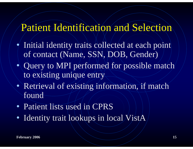#### Patient Identification and Selection

- Initial identity traits collected at each point of contact (Name, SSN, DOB, Gender)
- Query to MPI performed for possible match to existing unique entry
- Retrieval of existing information, if match found
- Patient lists used in CPRS
- Identity trait lookups in local VistA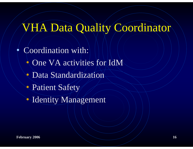## VHA Data Quality Coordinator

 $\bullet$  Coordination with:  $\bullet$ • One VA activities for IdM • Data Standardization • Patient Safety • Identity Management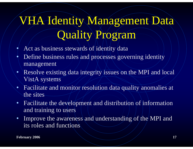# VHA Identity Management Data Quality Program

- •Act as business stewards of identity data
- •Define business rules and processes governing identity management
- • Resolve existing data integrity issues on the MPI and local VistA systems
- Facilitate and monitor/resolution data quality anomalies at the sites
- Facilitate the development and distribution of information and training to users
- Improve the awareness and understanding of the MPI and its roles and functions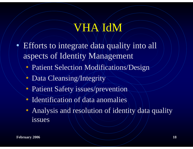## **VHAXIdM**

- $\bullet$  Efforts to integrate data quality into all aspects of Identity Management
	- Patient Selection Modifications/Design
	- Data Cleansing/Integrity
	- Patient Safety issues/prevention
	- Identification of data anomalies
	- Analysis and resolution of identity data quality issues